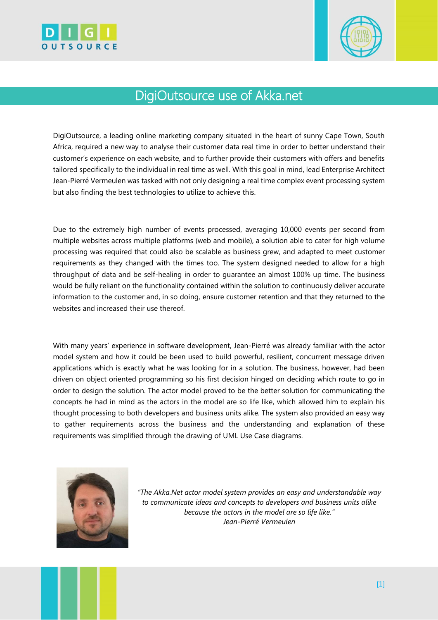



## DigiOutsource use of Akka.net

DigiOutsource, a leading online marketing company situated in the heart of sunny Cape Town, South Africa, required a new way to analyse their customer data real time in order to better understand their customer's experience on each website, and to further provide their customers with offers and benefits tailored specifically to the individual in real time as well. With this goal in mind, lead Enterprise Architect Jean-Pierré Vermeulen was tasked with not only designing a real time complex event processing system but also finding the best technologies to utilize to achieve this.

Due to the extremely high number of events processed, averaging 10,000 events per second from multiple websites across multiple platforms (web and mobile), a solution able to cater for high volume processing was required that could also be scalable as business grew, and adapted to meet customer requirements as they changed with the times too. The system designed needed to allow for a high throughput of data and be self-healing in order to guarantee an almost 100% up time. The business would be fully reliant on the functionality contained within the solution to continuously deliver accurate information to the customer and, in so doing, ensure customer retention and that they returned to the websites and increased their use thereof.

With many years' experience in software development, Jean-Pierré was already familiar with the actor model system and how it could be been used to build powerful, resilient, concurrent message driven applications which is exactly what he was looking for in a solution. The business, however, had been driven on object oriented programming so his first decision hinged on deciding which route to go in order to design the solution. The actor model proved to be the better solution for communicating the concepts he had in mind as the actors in the model are so life like, which allowed him to explain his thought processing to both developers and business units alike. The system also provided an easy way to gather requirements across the business and the understanding and explanation of these requirements was simplified through the drawing of UML Use Case diagrams.



*"The Akka.Net actor model system provides an easy and understandable way to communicate ideas and concepts to developers and business units alike because the actors in the model are so life like." Jean-Pierré Vermeulen*

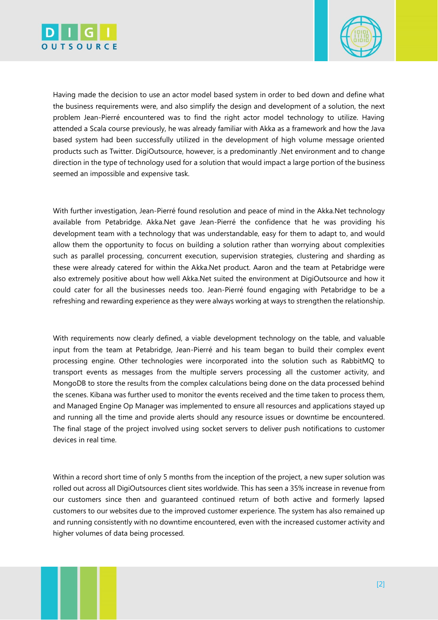



Having made the decision to use an actor model based system in order to bed down and define what the business requirements were, and also simplify the design and development of a solution, the next problem Jean-Pierré encountered was to find the right actor model technology to utilize. Having attended a Scala course previously, he was already familiar with Akka as a framework and how the Java based system had been successfully utilized in the development of high volume message oriented products such as Twitter. DigiOutsource, however, is a predominantly .Net environment and to change direction in the type of technology used for a solution that would impact a large portion of the business seemed an impossible and expensive task.

With further investigation, Jean-Pierré found resolution and peace of mind in the Akka.Net technology available from Petabridge. Akka.Net gave Jean-Pierré the confidence that he was providing his development team with a technology that was understandable, easy for them to adapt to, and would allow them the opportunity to focus on building a solution rather than worrying about complexities such as parallel processing, concurrent execution, supervision strategies, clustering and sharding as these were already catered for within the Akka.Net product. Aaron and the team at Petabridge were also extremely positive about how well Akka.Net suited the environment at DigiOutsource and how it could cater for all the businesses needs too. Jean-Pierré found engaging with Petabridge to be a refreshing and rewarding experience as they were always working at ways to strengthen the relationship.

With requirements now clearly defined, a viable development technology on the table, and valuable input from the team at Petabridge, Jean-Pierré and his team began to build their complex event processing engine. Other technologies were incorporated into the solution such as RabbitMQ to transport events as messages from the multiple servers processing all the customer activity, and MongoDB to store the results from the complex calculations being done on the data processed behind the scenes. Kibana was further used to monitor the events received and the time taken to process them, and Managed Engine Op Manager was implemented to ensure all resources and applications stayed up and running all the time and provide alerts should any resource issues or downtime be encountered. The final stage of the project involved using socket servers to deliver push notifications to customer devices in real time.

Within a record short time of only 5 months from the inception of the project, a new super solution was rolled out across all DigiOutsources client sites worldwide. This has seen a 35% increase in revenue from our customers since then and guaranteed continued return of both active and formerly lapsed customers to our websites due to the improved customer experience. The system has also remained up and running consistently with no downtime encountered, even with the increased customer activity and higher volumes of data being processed.